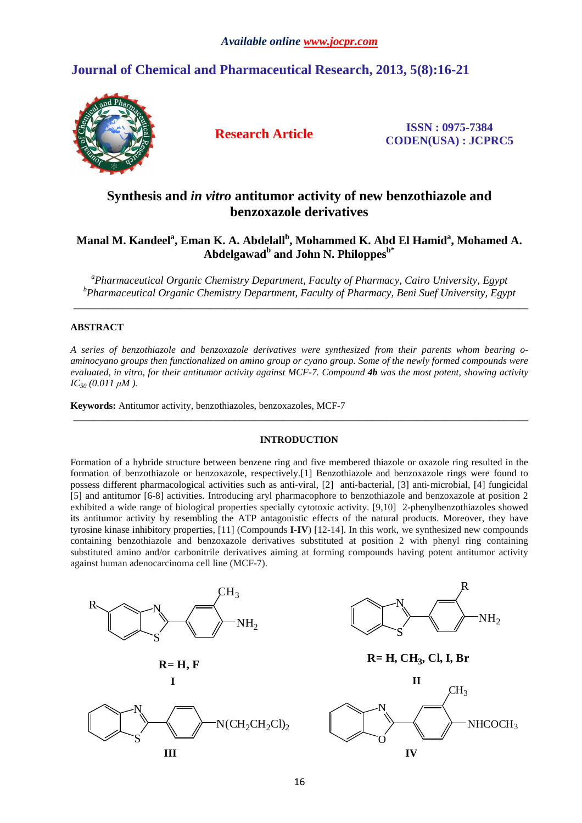# **Journal of Chemical and Pharmaceutical Research, 2013, 5(8):16-21**



**Research Article ISSN : 0975-7384 CODEN(USA) : JCPRC5**

# **Synthesis and** *in vitro* **antitumor activity of new benzothiazole and benzoxazole derivatives**

# **Manal M. Kandeel<sup>a</sup> , Eman K. A. Abdelall<sup>b</sup> , Mohammed K. Abd El Hamid<sup>a</sup> , Mohamed A. Abdelgawad<sup>b</sup> and John N. Philoppesb\***

<sup>a</sup> Pharmaceutical Organic Chemistry Department, Faculty of Pharmacy, Cairo University, Egypt *b Pharmaceutical Organic Chemistry Department, Faculty of Pharmacy, Beni Suef University, Egypt* \_\_\_\_\_\_\_\_\_\_\_\_\_\_\_\_\_\_\_\_\_\_\_\_\_\_\_\_\_\_\_\_\_\_\_\_\_\_\_\_\_\_\_\_\_\_\_\_\_\_\_\_\_\_\_\_\_\_\_\_\_\_\_\_\_\_\_\_\_\_\_\_\_\_\_\_\_\_\_\_\_\_\_\_\_\_\_\_\_\_\_\_\_

# **ABSTRACT**

*A series of benzothiazole and benzoxazole derivatives were synthesized from their parents whom bearing oaminocyano groups then functionalized on amino group or cyano group. Some of the newly formed compounds were evaluated, in vitro, for their antitumor activity against MCF-7. Compound 4b was the most potent, showing activity IC50 (0.011 µM ).* 

**Keywords:** Antitumor activity, benzothiazoles, benzoxazoles, MCF-7

## **INTRODUCTION**

\_\_\_\_\_\_\_\_\_\_\_\_\_\_\_\_\_\_\_\_\_\_\_\_\_\_\_\_\_\_\_\_\_\_\_\_\_\_\_\_\_\_\_\_\_\_\_\_\_\_\_\_\_\_\_\_\_\_\_\_\_\_\_\_\_\_\_\_\_\_\_\_\_\_\_\_\_\_\_\_\_\_\_\_\_\_\_\_\_\_\_\_\_

Formation of a hybride structure between benzene ring and five membered thiazole or oxazole ring resulted in the formation of benzothiazole or benzoxazole, respectively.[1] Benzothiazole and benzoxazole rings were found to possess different pharmacological activities such as anti‐viral, [2] anti‐bacterial, [3] anti‐microbial, [4] fungicidal [5] and antitumor [6-8] activities. Introducing aryl pharmacophore to benzothiazole and benzoxazole at position 2 exhibited a wide range of biological properties specially cytotoxic activity. [9,10] 2-phenylbenzothiazoles showed its antitumor activity by resembling the ATP antagonistic effects of the natural products. Moreover, they have tyrosine kinase inhibitory properties, [11] (Compounds **I-IV**) [12-14]. In this work, we synthesized new compounds containing benzothiazole and benzoxazole derivatives substituted at position 2 with phenyl ring containing substituted amino and/or carbonitrile derivatives aiming at forming compounds having potent antitumor activity against human adenocarcinoma cell line (MCF-7).

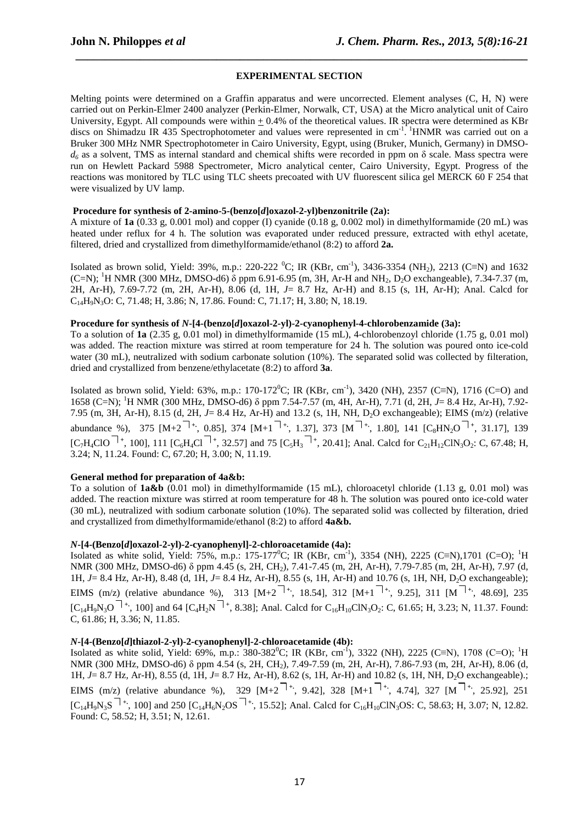## **EXPERIMENTAL SECTION**

 *\_\_\_\_\_\_\_\_\_\_\_\_\_\_\_\_\_\_\_\_\_\_\_\_\_\_\_\_\_\_\_\_\_\_\_\_\_\_\_\_\_\_\_\_\_\_\_\_\_\_\_\_\_\_\_\_\_\_\_\_\_\_\_\_\_\_\_\_\_\_\_\_\_\_\_\_\_*

Melting points were determined on a Graffin apparatus and were uncorrected. Element analyses (C, H, N) were carried out on Perkin-Elmer 2400 analyzer (Perkin-Elmer, Norwalk, CT, USA) at the Micro analytical unit of Cairo University, Egypt. All compounds were within  $\pm$  0.4% of the theoretical values. IR spectra were determined as KBr discs on Shimadzu IR 435 Spectrophotometer and values were represented in cm<sup>-1</sup>. <sup>1</sup>HNMR was carried out on a Bruker 300 MHz NMR Spectrophotometer in Cairo University, Egypt, using (Bruker, Munich, Germany) in DMSO*d6* as a solvent, TMS as internal standard and chemical shifts were recorded in ppm on δ scale. Mass spectra were run on Hewlett Packard 5988 Spectrometer, Micro analytical center, Cairo University, Egypt. Progress of the reactions was monitored by TLC using TLC sheets precoated with UV fluorescent silica gel MERCK 60 F 254 that were visualized by UV lamp.

#### **Procedure for synthesis of 2-amino-5-(benzo[***d***]oxazol-2-yl)benzonitrile (2a):**

A mixture of **1a** (0.33 g, 0.001 mol) and copper (I) cyanide (0.18 g, 0.002 mol) in dimethylformamide (20 mL) was heated under reflux for 4 h. The solution was evaporated under reduced pressure, extracted with ethyl acetate, filtered, dried and crystallized from dimethylformamide/ethanol (8:2) to afford **2a.** 

Isolated as brown solid, Yield: 39%, m.p.: 220-222  $^0C$ ; IR (KBr, cm<sup>-1</sup>), 3436-3354 (NH<sub>2</sub>), 2213 (C≡N) and 1632 (C=N); <sup>1</sup>H NMR (300 MHz, DMSO-d6) δ ppm 6.91-6.95 (m, 3H, Ar-H and NH<sub>2</sub>, D<sub>2</sub>O exchangeable), 7.34-7.37 (m, 2H, Ar-H), 7.69-7.72 (m, 2H, Ar-H), 8.06 (d, 1H, *J*= 8.7 Hz, Ar-H) and 8.15 (s, 1H, Ar-H); Anal. Calcd for C14H9N3O: C, 71.48; H, 3.86; N, 17.86. Found: C, 71.17; H, 3.80; N, 18.19.

#### **Procedure for synthesis of** *N***-[4-(benzo[***d***]oxazol-2-yl)-2-cyanophenyl-4-chlorobenzamide (3a):**

To a solution of **1a** (2.35 g, 0.01 mol) in dimethylformamide (15 mL), 4-chlorobenzoyl chloride (1.75 g, 0.01 mol) was added. The reaction mixture was stirred at room temperature for 24 h. The solution was poured onto ice-cold water (30 mL), neutralized with sodium carbonate solution (10%). The separated solid was collected by filteration, dried and crystallized from benzene/ethylacetate (8:2) to afford **3a**.

Isolated as brown solid, Yield: 63%, m.p.: 170-172<sup>0</sup>C; IR (KBr, cm<sup>-1</sup>), 3420 (NH), 2357 (C≡N), 1716 (C=O) and 1658 (C=N); <sup>1</sup>H NMR (300 MHz, DMSO-d6) δ ppm 7.54-7.57 (m, 4H, Ar-H), 7.71 (d, 2H, *J*= 8.4 Hz, Ar-H), 7.92- 7.95 (m, 3H, Ar-H), 8.15 (d, 2H, *J*= 8.4 Hz, Ar-H) and 13.2 (s, 1H, NH, D2O exchangeable); EIMS (m/z) (relative abundance %), 375 [M+2<sup>++</sup>, 0.85], 374 [M+1<sup>++</sup>, 1.37], 373 [M<sup>++</sup>, 1.80], 141 [C<sub>8</sub>HN<sub>2</sub>O<sup>++</sup>, 31.17], 139  $[C_7H_4ClO^{-1+}$ , 100], 111  $[C_6H_4Cl^{-1+}$ , 32.57] and 75  $[C_5H_3^{-1+}$ , 20.41]; Anal. Calcd for  $C_{21}H_{12}ClN_3O_2$ : C, 67.48; H, 3.24; N, 11.24. Found: C, 67.20; H, 3.00; N, 11.19.

## **General method for preparation of 4a&b:**

To a solution of **1a&b** (0.01 mol) in dimethylformamide (15 mL), chloroacetyl chloride (1.13 g, 0.01 mol) was added. The reaction mixture was stirred at room temperature for 48 h. The solution was poured onto ice-cold water (30 mL), neutralized with sodium carbonate solution (10%). The separated solid was collected by filteration, dried and crystallized from dimethylformamide/ethanol (8:2) to afford **4a&b.** 

#### *N***-[4-(Benzo[***d***]oxazol-2-yl)-2-cyanophenyl]-2-chloroacetamide (4a):**

Isolated as white solid, Yield: 75%, m.p.: 175-177<sup>0</sup>C; IR (KBr, cm<sup>-1</sup>), 3354 (NH), 2225 (C≡N),1701 (C=O); <sup>1</sup>H NMR (300 MHz, DMSO-d6) δ ppm 4.45 (s, 2H, CH<sub>2</sub>), 7.41-7.45 (m, 2H, Ar-H), 7.79-7.85 (m, 2H, Ar-H), 7.97 (d, 1H, *J*= 8.4 Hz, Ar-H), 8.48 (d, 1H, *J*= 8.4 Hz, Ar-H), 8.55 (s, 1H, Ar-H) and 10.76 (s, 1H, NH, D<sub>2</sub>O exchangeable); EIMS (m/z) (relative abundance %), 313 [M+2 **+.**, 18.54], 312 [M+1 **+.**, 9.25], 311 [M **+.**, 48.69], 235  $[C_{14}H_9N_3O^{-1+}$ , 100] and 64  $[C_{4}H_{2}N^{-1+}$ , 8.38]; Anal. Calcd for  $C_{16}H_{10}CN_3O_2$ : C, 61.65; H, 3.23; N, 11.37. Found: C, 61.86; H, 3.36; N, 11.85.

## *N***-[4-(Benzo[***d***]thiazol-2-yl)-2-cyanophenyl]-2-chloroacetamide (4b):**

Isolated as white solid, Yield: 69%, m.p.: 380-382<sup>0</sup>C; IR (KBr, cm<sup>-1</sup>), 3322 (NH), 2225 (C≡N), 1708 (C=O); <sup>1</sup>H NMR (300 MHz, DMSO-d6) δ ppm 4.54 (s, 2H, CH<sub>2</sub>), 7.49-7.59 (m, 2H, Ar-H), 7.86-7.93 (m, 2H, Ar-H), 8.06 (d, 1H, *J*= 8.7 Hz*,* Ar-H), 8.55 (d, 1H, *J*= 8.7 Hz, Ar-H), 8.62 (s, 1H, Ar-H) and 10.82 (s, 1H, NH, D2O exchangeable).; EIMS (m/z) (relative abundance %), 329 [M+2 **+.**, 9.42], 328 [M+1 **+.**, 4.74], 327 [M **+.**, 25.92], 251  $[C_{14}H_9N_3S^{-1+}$ , 100] and 250  $[C_{14}H_6N_2OS^{-1+}$ , 15.52]; Anal. Calcd for  $C_{16}H_{10}CN_3OS$ : C, 58.63; H, 3.07; N, 12.82. Found: C, 58.52; H, 3.51; N, 12.61.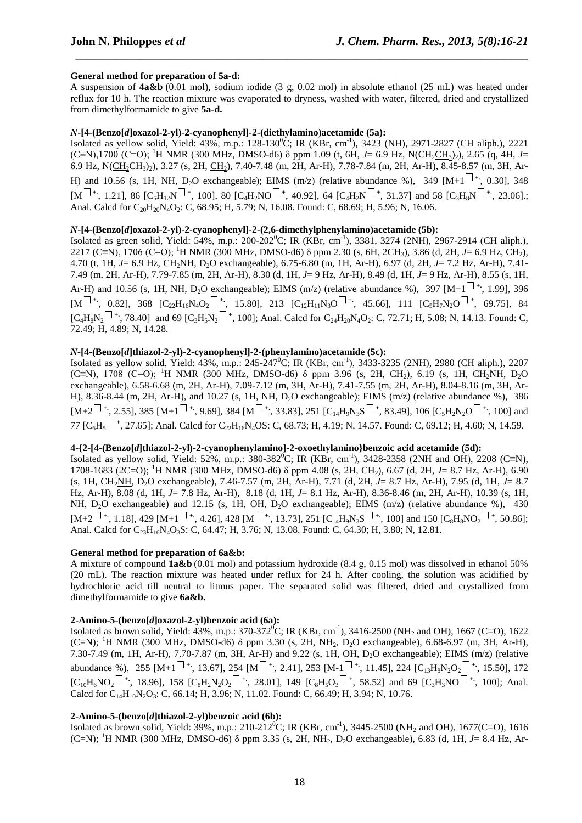## **General method for preparation of 5a-d:**

A suspension of **4a&b** (0.01 mol), sodium iodide (3 g, 0.02 mol) in absolute ethanol (25 mL) was heated under reflux for 10 h. The reaction mixture was evaporated to dryness, washed with water, filtered, dried and crystallized from dimethylformamide to give **5a-d.** 

 *\_\_\_\_\_\_\_\_\_\_\_\_\_\_\_\_\_\_\_\_\_\_\_\_\_\_\_\_\_\_\_\_\_\_\_\_\_\_\_\_\_\_\_\_\_\_\_\_\_\_\_\_\_\_\_\_\_\_\_\_\_\_\_\_\_\_\_\_\_\_\_\_\_\_\_\_\_*

# *N***-[4-(Benzo[***d***]oxazol-2-yl)-2-cyanophenyl]-2-(diethylamino)acetamide (5a):**

Isolated as yellow solid, Yield: 43%, m.p.: 128-130<sup>0</sup>C; IR (KBr, cm<sup>-1</sup>), 3423 (NH), 2971-2827 (CH aliph.), 2221 (C≡N),1700 (C=O); <sup>1</sup>H NMR (300 MHz, DMSO-d6) δ ppm 1.09 (t, 6H, *J*= 6.9 Hz, N(CH<sub>2</sub>CH<sub>3</sub>)<sub>2</sub>), 2.65 (q, 4H, *J*= 6.9 Hz, N(CH<sub>2</sub>CH<sub>3</sub>)<sub>2</sub>), 3.27 (s, 2H, CH<sub>2</sub>), 7.40-7.48 (m, 2H, Ar-H), 7.78-7.84 (m, 2H, Ar-H), 8.45-8.57 (m, 3H, Ar-H) and 10.56 (s, 1H, NH, D2O exchangeable); EIMS (m/z) (relative abundance %), 349 [M+1 **+.**, 0.30], 348  $[M^{\dagger+}, 1.21]$ , 86  $[C_5H_{12}N^{\dagger+}, 100]$ , 80  $[C_4H_2NO^{\dagger+}, 40.92]$ , 64  $[C_4H_2N^{\dagger+}, 31.37]$  and 58  $[C_3H_8N^{\dagger+}, 23.06]$ ; Anal. Calcd for  $C_{20}H_{20}N_4O_2$ : C, 68.95; H, 5.79; N, 16.08. Found: C, 68.69; H, 5.96; N, 16.06.

# *N***-[4-(Benzo[***d***]oxazol-2-yl)-2-cyanophenyl]-2-(2,6-dimethylphenylamino)acetamide (5b):**

Isolated as green solid, Yield: 54%, m.p.: 200-202<sup>0</sup>C; IR (KBr, cm<sup>-1</sup>), 3381, 3274 (2NH), 2967-2914 (CH aliph.), 2217 (C≡N), 1706 (C=O); <sup>1</sup>H NMR (300 MHz, DMSO-d6) δ ppm 2.30 (s, 6H, 2CH3), 3.86 (d, 2H, *J*= 6.9 Hz, CH2), 4.70 (t, 1H, *J*= 6.9 Hz, CH2NH, D2O exchangeable), 6.75-6.80 (m, 1H, Ar-H), 6.97 (d, 2H, *J*= 7.2 Hz*,* Ar-H), 7.41- 7.49 (m, 2H, Ar-H), 7.79-7.85 (m, 2H, Ar-H), 8.30 (d, 1H, *J*= 9 Hz, Ar-H), 8.49 (d, 1H, *J*= 9 Hz, Ar-H), 8.55 (s, 1H, Ar-H) and 10.56 (s, 1H, NH,  $D_2O$  exchangeable); EIMS (m/z) (relative abundance %), 397 [M+1<sup> $\top$ +</sup>; 1.99], 396  $[M^{++}, 0.82]$ , 368  $[C_{22}H_{16}N_4O_2^{++}$ , 15.80], 213  $[C_{12}H_{11}N_3O^{++}$ , 45.66], 111  $[C_5H_7N_2O^{++}$ , 69.75], 84  $[C_4H_8N_2$ <sup> $\top$ +</sup>, 78.40] and 69  $[C_3H_5N_2$ <sup> $\top$ </sup>, 100]; Anal. Calcd for  $C_{24}H_{20}N_4O_2$ : C, 72.71; H, 5.08; N, 14.13. Found: C, 72.49; H, 4.89; N, 14.28.

## *N***-[4-(Benzo[***d***]thiazol-2-yl)-2-cyanophenyl]-2-(phenylamino)acetamide (5c):**

Isolated as yellow solid, Yield: 43%, m.p.: 245-247<sup>0</sup>C; IR (KBr, cm-1), 3433-3235 (2NH), 2980 (CH aliph.), 2207 (C≡N), 1708 (C=O); <sup>1</sup>H NMR (300 MHz, DMSO-d6)  $\delta$  ppm 3.96 (s, 2H, CH<sub>2</sub>), 6.19 (s, 1H, CH<sub>2</sub>NH, D<sub>2</sub>O exchangeable), 6.58-6.68 (m, 2H, Ar-H), 7.09-7.12 (m, 3H, Ar-H), 7.41-7.55 (m, 2H, Ar-H), 8.04-8.16 (m, 3H, Ar-H), 8.36-8.44 (m, 2H, Ar-H), and 10.27 (s, 1H, NH, D<sub>2</sub>O exchangeable); EIMS (m/z) (relative abundance %), 386  $[M+2$ <sup> $|+$ </sup>, 2.55], 385 [M+1<sup> $|+$ </sup>, 9.69], 384 [M<sup> $|+$ </sup>, 33.83], 251 [C<sub>14</sub>H<sub>9</sub>N<sub>3</sub>S<sup> $|+$ </sup>, 83.49], 106 [C<sub>5</sub>H<sub>2</sub>N<sub>2</sub>O<sup> $|+$ </sup>, 100] and 77 [C<sub>6</sub>H<sub>5</sub><sup>+</sup>, 27.65]; Anal. Calcd for C<sub>22</sub>H<sub>16</sub>N<sub>4</sub>OS: C, 68.73; H, 4.19; N, 14.57. Found: C, 69.12; H, 4.60; N, 14.59.

## **4-{2-[4-(Benzo[***d***]thiazol-2-yl)-2-cyanophenylamino]-2-oxoethylamino}benzoic acid acetamide (5d):**

Isolated as yellow solid, Yield: 52%, m.p.:  $380-382^{\circ}$ C; IR (KBr, cm<sup>-1</sup>), 3428-2358 (2NH and OH), 2208 (C≡N), 1708-1683 (2C=O); <sup>1</sup>H NMR (300 MHz, DMSO-d6) δ ppm 4.08 (s, 2H, CH2), 6.67 (d, 2H, *J*= 8.7 Hz, Ar-H), 6.90 (s, 1H, CH2NH, D2O exchangeable), 7.46-7.57 (m, 2H, Ar-H), 7.71 (d, 2H, *J*= 8.7 Hz, Ar-H), 7.95 (d, 1H, *J*= 8.7 Hz, Ar-H), 8.08 (d, 1H, *J*= 7.8 Hz, Ar-H), 8.18 (d, 1H, *J*= 8.1 Hz, Ar-H), 8.36-8.46 (m, 2H, Ar-H), 10.39 (s, 1H, NH, D<sub>2</sub>O exchangeable) and 12.15 (s, 1H, OH, D<sub>2</sub>O exchangeable); EIMS (m/z) (relative abundance %), 430  $[M+2$ <sup>-1+</sup>, 1.18], 429  $[M+1$ <sup>-1+</sup>, 4.26], 428  $[M^{-1}$ <sup>+</sup>, 13.73], 251  $[C_{14}H_9N_3S^{-1}$ <sup>+</sup>, 100] and 150  $[C_8H_8NO_2$ <sup>-1+</sup>, 50.86]; Anal. Calcd for  $C_{23}H_{16}N_4O_3S$ : C, 64.47; H, 3.76; N, 13.08. Found: C, 64.30; H, 3.80; N, 12.81.

## **General method for preparation of 6a&b:**

A mixture of compound **1a&b** (0.01 mol) and potassium hydroxide (8.4 g, 0.15 mol) was dissolved in ethanol 50% (20 mL). The reaction mixture was heated under reflux for 24 h. After cooling, the solution was acidified by hydrochloric acid till neutral to litmus paper. The separated solid was filtered, dried and crystallized from dimethylformamide to give **6a&b.** 

## **2-Amino-5-(benzo[***d***]oxazol-2-yl)benzoic acid (6a):**

Isolated as brown solid, Yield: 43%, m.p.: 370-372<sup>0</sup>C; IR (KBr, cm<sup>-1</sup>), 3416-2500 (NH<sub>2</sub> and OH), 1667 (C=O), 1622 (C=N); <sup>1</sup>H NMR (300 MHz, DMSO-d6)  $\delta$  ppm 3.30 (s, 2H, NH<sub>2</sub>, D<sub>2</sub>O exchangeable), 6.68-6.97 (m, 3H, Ar-H), 7.30-7.49 (m, 1H, Ar-H), 7.70-7.87 (m, 3H, Ar-H) and 9.22 (s, 1H, OH, D2O exchangeable); EIMS (m/z) (relative abundance %), 255 [M+1<sup> |+</sup>, 13.67], 254 [M<sup>|+</sup>, 2.41], 253 [M-1<sup>|+</sup>, 11.45], 224 [C<sub>13</sub>H<sub>8</sub>N<sub>2</sub>O<sub>2</sub><sup>|+</sup>, 15.50], 172  $[C_{10}H_6NO_2^{-1}$ <sup>+</sup>, 18.96], 158  $[C_8H_2N_2O_2^{-1}$ <sup>+</sup>, 28.01], 149  $[C_8H_5O_3^{-1}$ <sup>+</sup>, 58.52] and 69  $[C_3H_3NO^{-1}$ <sup>+</sup>, 100]; Anal. Calcd for  $C_{14}H_{10}N_2O_3$ : C, 66.14; H, 3.96; N, 11.02. Found: C, 66.49; H, 3.94; N, 10.76.

# **2-Amino-5-(benzo[***d***]thiazol-2-yl)benzoic acid (6b):**

Isolated as brown solid, Yield:  $39\%$ , m.p.: 210-212<sup>0</sup>C; IR (KBr, cm<sup>-1</sup>), 3445-2500 (NH<sub>2</sub> and OH), 1677(C=O), 1616 (C=N); <sup>1</sup>H NMR (300 MHz, DMSO-d6) δ ppm 3.35 (s, 2H, NH<sub>2</sub>, D<sub>2</sub>O exchangeable), 6.83 (d, 1H, *J*= 8.4 Hz, Ar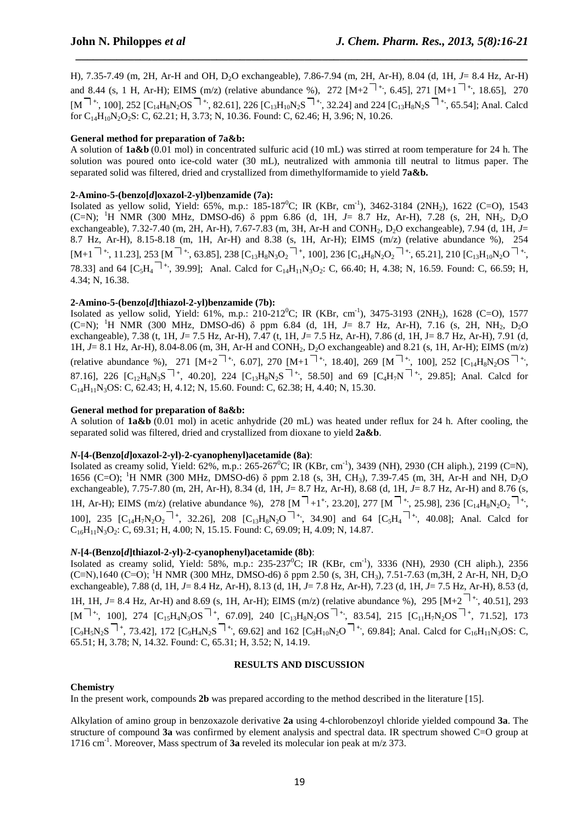H), 7.35-7.49 (m, 2H, Ar-H and OH, D2O exchangeable), 7.86-7.94 (m, 2H, Ar-H), 8.04 (d, 1H, *J*= 8.4 Hz, Ar-H) and 8.44 (s, 1 H, Ar-H); EIMS (m/z) (relative abundance %), 272  $[M+2^{-1}$ <sup>+</sup>, 6.45], 271  $[M+1^{-1}$ <sup>+</sup>, 18.65], 270  $[M^{-1+}, 100]$ , 252 [C<sub>14</sub>H<sub>8</sub>N<sub>2</sub>OS<sup>1</sup><sup>+</sup>, 82.61], 226 [C<sub>13</sub>H<sub>10</sub>N<sub>2</sub>S<sup>1</sup><sup>+</sup>, 32.24] and 224 [C<sub>13</sub>H<sub>8</sub>N<sub>2</sub>S<sup>1</sup><sup>+</sup>, 65.54]; Anal. Calcd for  $C_{14}H_{10}N_2O_2S$ : C, 62.21; H, 3.73; N, 10.36. Found: C, 62.46; H, 3.96; N, 10.26.

 *\_\_\_\_\_\_\_\_\_\_\_\_\_\_\_\_\_\_\_\_\_\_\_\_\_\_\_\_\_\_\_\_\_\_\_\_\_\_\_\_\_\_\_\_\_\_\_\_\_\_\_\_\_\_\_\_\_\_\_\_\_\_\_\_\_\_\_\_\_\_\_\_\_\_\_\_\_*

# **General method for preparation of 7a&b:**

A solution of **1a&b** (0.01 mol) in concentrated sulfuric acid (10 mL) was stirred at room temperature for 24 h. The solution was poured onto ice-cold water (30 mL), neutralized with ammonia till neutral to litmus paper. The separated solid was filtered, dried and crystallized from dimethylformamide to yield **7a&b.** 

## **2-Amino-5-(benzo[***d***]oxazol-2-yl)benzamide (7a):**

Isolated as yellow solid, Yield: 65%, m.p.: 185-187<sup>0</sup>C; IR (KBr, cm<sup>-1</sup>), 3462-3184 (2NH<sub>2</sub>), 1622 (C=O), 1543 (C=N); <sup>1</sup>H NMR (300 MHz, DMSO-d6) δ ppm 6.86 (d, 1H, *J*= 8.7 Hz, Ar-H), 7.28 (s, 2H, NH2, D2O exchangeable), 7.32-7.40 (m, 2H, Ar-H), 7.67-7.83 (m, 3H, Ar-H and CONH<sub>2</sub>, D<sub>2</sub>O exchangeable), 7.94 (d, 1H, *J*= 8.7 Hz, Ar-H), 8.15-8.18 (m, 1H, Ar-H) and 8.38 (s, 1H, Ar-H); EIMS (m/z) (relative abundance %), 254  $[M+1$ <sup> $+$ </sup>, 11.23], 253 [M<sup> $+$ </sup>, 63.85], 238 [C<sub>13</sub>H<sub>8</sub>N<sub>3</sub>O<sub>2</sub><sup> $+$ </sup>, 100], 236 [C<sub>14</sub>H<sub>8</sub>N<sub>2</sub>O<sub>2</sub><sup> $+$ </sup>, 65.21], 210 [C<sub>13</sub>H<sub>10</sub>N<sub>2</sub>O<sup>1</sup><sup>+</sup>, 78.33] and 64 [C<sub>5</sub>H<sub>4</sub> <sup>|+</sup>, 39.99]; Anal. Calcd for C<sub>14</sub>H<sub>11</sub>N<sub>3</sub>O<sub>2</sub>: C, 66.40; H, 4.38; N, 16.59. Found: C, 66.59; H, 4.34; N, 16.38.

## **2-Amino-5-(benzo[***d***]thiazol-2-yl)benzamide (7b):**

Isolated as yellow solid, Yield: 61%, m.p.: 210-212<sup>0</sup>C; IR (KBr, cm<sup>-1</sup>), 3475-3193 (2NH<sub>2</sub>), 1628 (C=O), 1577 (C=N); <sup>1</sup>H NMR (300 MHz, DMSO-d6) δ ppm 6.84 (d, 1H, *J*= 8.7 Hz, Ar-H), 7.16 (s, 2H, NH2, D2O exchangeable), 7.38 (t, 1H, *J*= 7.5 Hz, Ar-H), 7.47 (t, 1H, *J*= 7.5 Hz, Ar-H), 7.86 (d, 1H, J= 8.7 Hz, Ar-H), 7.91 (d, 1H, *J*= 8.1 Hz, Ar-H), 8.04-8.06 (m, 3H, Ar-H and CONH2, D2O exchangeable) and 8.21 (s, 1H, Ar-H); EIMS (m/z) (relative abundance %), 271  $[M+2^{-1}$ <sup>+</sup>, 6.07], 270  $[M+1^{-1}$ <sup>+</sup>, 18.40], 269  $[M^{-1}$ <sup>+</sup>, 100], 252  $[C_{14}H_8N_2OS^{-1}$ <sup>+</sup>, 87.16], 226  $[C_{12}H_8N_3S$ <sup> $|+_$ </sup>, 40.20], 224  $[C_{13}H_8N_2S$ <sup> $|+_$ </sup>, 58.50] and 69  $[C_4H_7N$ <sup> $|+_$ </sup>, 29.85]; Anal. Calcd for C14H11N3OS: C, 62.43; H, 4.12; N, 15.60. Found: C, 62.38; H, 4.40; N, 15.30.

## **General method for preparation of 8a&b:**

A solution of **1a&b** (0.01 mol) in acetic anhydride (20 mL) was heated under reflux for 24 h. After cooling, the separated solid was filtered, dried and crystallized from dioxane to yield **2a&b**.

## *N***-[4-(Benzo[***d***]oxazol-2-yl)-2-cyanophenyl)acetamide (8a)**:

Isolated as creamy solid, Yield:  $62\%$ , m.p.: 265-267<sup>0</sup>C; IR (KBr, cm<sup>-1</sup>), 3439 (NH), 2930 (CH aliph.), 2199 (C≡N), 1656 (C=O); <sup>1</sup>H NMR (300 MHz, DMSO-d6)  $\delta$  ppm 2.18 (s, 3H, CH<sub>3</sub>), 7.39-7.45 (m, 3H, Ar-H and NH, D<sub>2</sub>O exchangeable), 7.75-7.80 (m, 2H, Ar-H), 8.34 (d, 1H, *J*= 8.7 Hz*,* Ar-H), 8.68 (d, 1H, *J*= 8.7 Hz, Ar-H) and 8.76 (s, 1H, Ar-H); EIMS (m/z) (relative abundance %), 278 [M  $+1^+$ , 23.20], 277 [M  $+$ , 25.98], 236 [C<sub>14</sub>H<sub>8</sub>N<sub>2</sub>O<sub>2</sub>  $+$ <sup>+</sup>, 100], 235 [C<sub>14</sub>H<sub>7</sub>N<sub>2</sub>O<sub>2</sub><sup>+</sup>, 32.26], 208 [C<sub>13</sub>H<sub>8</sub>N<sub>2</sub>O<sup>++</sup>, 34.90] and 64 [C<sub>5</sub>H<sub>4</sub><sup>++</sup>, 40.08]; Anal. Calcd for  $C_{16}H_{11}N_3O_2$ : C, 69.31; H, 4.00; N, 15.15. Found: C, 69.09; H, 4.09; N, 14.87.

## *N***-[4-(Benzo[***d***]thiazol-2-yl)-2-cyanophenyl)acetamide (8b)**:

Isolated as creamy solid, Yield: 58%, m.p.: 235-237<sup>0</sup>C; IR (KBr, cm<sup>-1</sup>), 3336 (NH), 2930 (CH aliph.), 2356  $(C=N)$ ,1640  $(C=O)$ ; <sup>1</sup>H NMR (300 MHz, DMSO-d6) δ ppm 2.50 (s, 3H, CH<sub>3</sub>), 7.51-7.63 (m,3H, 2 Ar-H, NH, D<sub>2</sub>O exchangeable), 7.88 (d, 1H, *J*= 8.4 Hz*,* Ar-H), 8.13 (d, 1H, *J*= 7.8 Hz, Ar-H), 7.23 (d, 1H, *J*= 7.5 Hz, Ar-H), 8.53 (d, 1H, 1H, *J*= 8.4 Hz, Ar-H) and 8.69 (s, 1H, Ar-H); EIMS (m/z) (relative abundance %), 295 [M+2 **+.**, 40.51], 293 [M **+.**, 100], 274 [C15H4N3OS **<sup>+</sup>** , 67.09], 240 [C13H8N2OS **+.**, 83.54], 215 [C11H7N2OS **<sup>+</sup>** , 71.52], 173  $[C_9H_5N_2S^{-1}$ <sup>+</sup>, 73.42], 172  $[C_9H_4N_2S^{-1}$ <sup>+</sup>, 69.62] and 162  $[C_9H_{10}N_2O^{-1}$ <sup>+</sup>, 69.84]; Anal. Calcd for  $C_{16}H_{11}N_3OS$ : C, 65.51; H, 3.78; N, 14.32. Found: C, 65.31; H, 3.52; N, 14.19.

## **RESULTS AND DISCUSSION**

## **Chemistry**

In the present work, compounds **2b** was prepared according to the method described in the literature [15].

Alkylation of amino group in benzoxazole derivative **2a** using 4-chlorobenzoyl chloride yielded compound **3a**. The structure of compound **3a** was confirmed by element analysis and spectral data. IR spectrum showed C=O group at 1716 cm-1. Moreover, Mass spectrum of **3a** reveled its molecular ion peak at m/z 373.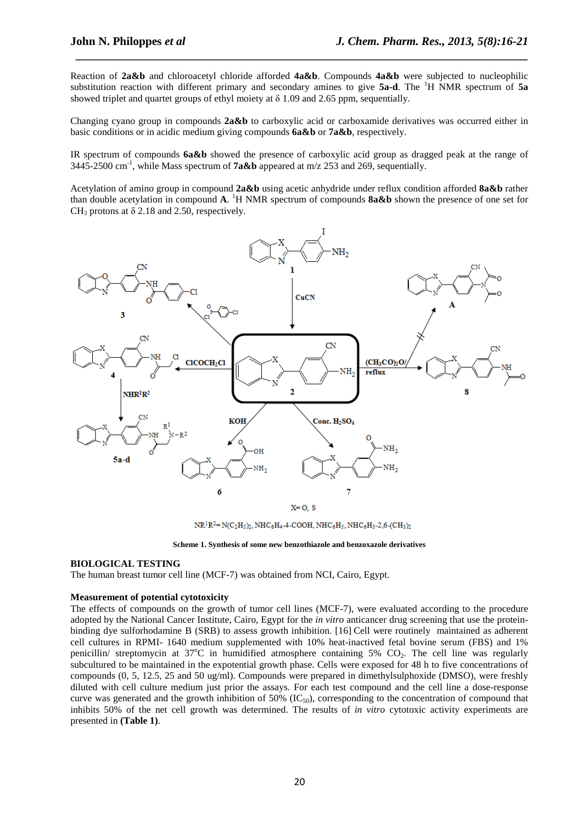Reaction of **2a&b** and chloroacetyl chloride afforded **4a&b**. Compounds **4a&b** were subjected to nucleophilic substitution reaction with different primary and secondary amines to give **5a-d**. The <sup>1</sup>H NMR spectrum of **5a** showed triplet and quartet groups of ethyl moiety at  $\delta$  1.09 and 2.65 ppm, sequentially.

 *\_\_\_\_\_\_\_\_\_\_\_\_\_\_\_\_\_\_\_\_\_\_\_\_\_\_\_\_\_\_\_\_\_\_\_\_\_\_\_\_\_\_\_\_\_\_\_\_\_\_\_\_\_\_\_\_\_\_\_\_\_\_\_\_\_\_\_\_\_\_\_\_\_\_\_\_\_*

Changing cyano group in compounds **2a&b** to carboxylic acid or carboxamide derivatives was occurred either in basic conditions or in acidic medium giving compounds **6a&b** or **7a&b**, respectively.

IR spectrum of compounds **6a&b** showed the presence of carboxylic acid group as dragged peak at the range of 3445-2500 cm<sup>-1</sup>, while Mass spectrum of **7a&b** appeared at m/z 253 and 269, sequentially.

Acetylation of amino group in compound **2a&b** using acetic anhydride under reflux condition afforded **8a&b** rather than double acetylation in compound **A**. <sup>1</sup>H NMR spectrum of compounds **8a&b** shown the presence of one set for CH<sub>3</sub> protons at  $\delta$  2.18 and 2.50, respectively.



 $NR^{1}R^{2}=N(C_{2}H_{5})_{2}$ ,  $NHC_{6}H_{4}$ -4-COOH,  $NHC_{6}H_{5}$ ,  $NHC_{6}H_{3}$ -2,6-(CH<sub>3</sub>)<sub>2</sub>

#### **BIOLOGICAL TESTING**

The human breast tumor cell line (MCF-7) was obtained from NCI, Cairo, Egypt.

#### **Measurement of potential cytotoxicity**

The effects of compounds on the growth of tumor cell lines (MCF-7), were evaluated according to the procedure adopted by the National Cancer Institute, Cairo, Egypt for the *in vitro* anticancer drug screening that use the proteinbinding dye sulforhodamine B (SRB) to assess growth inhibition. [16] Cell were routinely maintained as adherent cell cultures in RPMI- 1640 medium supplemented with 10% heat-inactived fetal bovine serum (FBS) and 1% penicillin/ streptomycin at  $37^{\circ}\text{C}$  in humidified atmosphere containing 5% CO<sub>2</sub>. The cell line was regularly subcultured to be maintained in the expotential growth phase. Cells were exposed for 48 h to five concentrations of compounds (0, 5, 12.5, 25 and 50 ug/ml). Compounds were prepared in dimethylsulphoxide (DMSO), were freshly diluted with cell culture medium just prior the assays. For each test compound and the cell line a dose-response curve was generated and the growth inhibition of 50%  $(IC_{50})$ , corresponding to the concentration of compound that inhibits 50% of the net cell growth was determined. The results of *in vitro* cytotoxic activity experiments are presented in **(Table 1)**.

**Scheme 1. Synthesis of some new benzothiazole and benzoxazole derivatives**